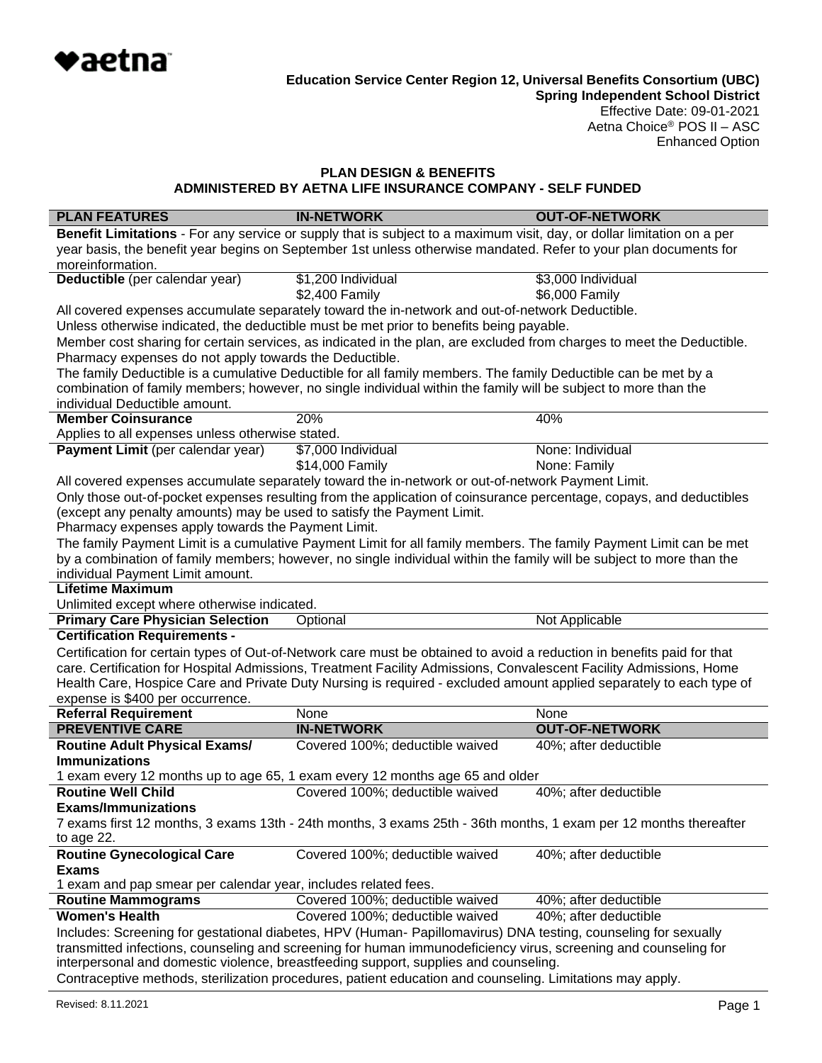

**Spring Independent School District** Effective Date: 09-01-2021 Aetna Choice® POS II – ASC Enhanced Option

# **PLAN DESIGN & BENEFITS ADMINISTERED BY AETNA LIFE INSURANCE COMPANY - SELF FUNDED**

| <b>PLAN FEATURES</b>                                                                                                                                                                                    | <b>IN-NETWORK</b>                                                                                                      | <b>OUT-OF-NETWORK</b> |  |
|---------------------------------------------------------------------------------------------------------------------------------------------------------------------------------------------------------|------------------------------------------------------------------------------------------------------------------------|-----------------------|--|
|                                                                                                                                                                                                         | Benefit Limitations - For any service or supply that is subject to a maximum visit, day, or dollar limitation on a per |                       |  |
| year basis, the benefit year begins on September 1st unless otherwise mandated. Refer to your plan documents for                                                                                        |                                                                                                                        |                       |  |
| moreinformation.                                                                                                                                                                                        |                                                                                                                        |                       |  |
| Deductible (per calendar year)                                                                                                                                                                          | \$1,200 Individual                                                                                                     | \$3,000 Individual    |  |
|                                                                                                                                                                                                         | \$2,400 Family                                                                                                         | \$6,000 Family        |  |
|                                                                                                                                                                                                         | All covered expenses accumulate separately toward the in-network and out-of-network Deductible.                        |                       |  |
|                                                                                                                                                                                                         | Unless otherwise indicated, the deductible must be met prior to benefits being payable.                                |                       |  |
|                                                                                                                                                                                                         | Member cost sharing for certain services, as indicated in the plan, are excluded from charges to meet the Deductible.  |                       |  |
| Pharmacy expenses do not apply towards the Deductible.                                                                                                                                                  |                                                                                                                        |                       |  |
|                                                                                                                                                                                                         | The family Deductible is a cumulative Deductible for all family members. The family Deductible can be met by a         |                       |  |
|                                                                                                                                                                                                         | combination of family members; however, no single individual within the family will be subject to more than the        |                       |  |
| individual Deductible amount.<br><b>Member Coinsurance</b>                                                                                                                                              | 20%                                                                                                                    | 40%                   |  |
|                                                                                                                                                                                                         |                                                                                                                        |                       |  |
| Applies to all expenses unless otherwise stated.                                                                                                                                                        |                                                                                                                        | None: Individual      |  |
| Payment Limit (per calendar year)                                                                                                                                                                       | \$7,000 Individual                                                                                                     |                       |  |
|                                                                                                                                                                                                         | \$14,000 Family                                                                                                        | None: Family          |  |
|                                                                                                                                                                                                         | All covered expenses accumulate separately toward the in-network or out-of-network Payment Limit.                      |                       |  |
|                                                                                                                                                                                                         | Only those out-of-pocket expenses resulting from the application of coinsurance percentage, copays, and deductibles    |                       |  |
| (except any penalty amounts) may be used to satisfy the Payment Limit.                                                                                                                                  |                                                                                                                        |                       |  |
| Pharmacy expenses apply towards the Payment Limit.                                                                                                                                                      |                                                                                                                        |                       |  |
|                                                                                                                                                                                                         | The family Payment Limit is a cumulative Payment Limit for all family members. The family Payment Limit can be met     |                       |  |
|                                                                                                                                                                                                         | by a combination of family members; however, no single individual within the family will be subject to more than the   |                       |  |
| individual Payment Limit amount.                                                                                                                                                                        |                                                                                                                        |                       |  |
| <b>Lifetime Maximum</b>                                                                                                                                                                                 |                                                                                                                        |                       |  |
| Unlimited except where otherwise indicated.                                                                                                                                                             |                                                                                                                        |                       |  |
| <b>Primary Care Physician Selection</b>                                                                                                                                                                 | Optional                                                                                                               | Not Applicable        |  |
| <b>Certification Requirements -</b>                                                                                                                                                                     |                                                                                                                        |                       |  |
|                                                                                                                                                                                                         | Certification for certain types of Out-of-Network care must be obtained to avoid a reduction in benefits paid for that |                       |  |
|                                                                                                                                                                                                         | care. Certification for Hospital Admissions, Treatment Facility Admissions, Convalescent Facility Admissions, Home     |                       |  |
|                                                                                                                                                                                                         | Health Care, Hospice Care and Private Duty Nursing is required - excluded amount applied separately to each type of    |                       |  |
| expense is \$400 per occurrence.                                                                                                                                                                        |                                                                                                                        | None                  |  |
| <b>Referral Requirement</b><br><b>PREVENTIVE CARE</b>                                                                                                                                                   | None<br><b>IN-NETWORK</b>                                                                                              | <b>OUT-OF-NETWORK</b> |  |
|                                                                                                                                                                                                         |                                                                                                                        |                       |  |
| <b>Routine Adult Physical Exams/</b>                                                                                                                                                                    | Covered 100%; deductible waived                                                                                        | 40%; after deductible |  |
| <b>Immunizations</b>                                                                                                                                                                                    |                                                                                                                        |                       |  |
|                                                                                                                                                                                                         | 1 exam every 12 months up to age 65, 1 exam every 12 months age 65 and older                                           |                       |  |
| <b>Routine Well Child</b>                                                                                                                                                                               | Covered 100%; deductible waived                                                                                        | 40%; after deductible |  |
| <b>Exams/Immunizations</b>                                                                                                                                                                              |                                                                                                                        |                       |  |
|                                                                                                                                                                                                         | 7 exams first 12 months, 3 exams 13th - 24th months, 3 exams 25th - 36th months, 1 exam per 12 months thereafter       |                       |  |
| to age 22.                                                                                                                                                                                              |                                                                                                                        |                       |  |
| <b>Routine Gynecological Care</b>                                                                                                                                                                       | Covered 100%; deductible waived                                                                                        | 40%; after deductible |  |
| <b>Exams</b>                                                                                                                                                                                            |                                                                                                                        |                       |  |
| 1 exam and pap smear per calendar year, includes related fees.                                                                                                                                          |                                                                                                                        |                       |  |
| <b>Routine Mammograms</b>                                                                                                                                                                               | Covered 100%; deductible waived                                                                                        | 40%; after deductible |  |
| <b>Women's Health</b>                                                                                                                                                                                   | Covered 100%; deductible waived                                                                                        | 40%; after deductible |  |
| Includes: Screening for gestational diabetes, HPV (Human- Papillomavirus) DNA testing, counseling for sexually                                                                                          |                                                                                                                        |                       |  |
| transmitted infections, counseling and screening for human immunodeficiency virus, screening and counseling for<br>interpersonal and domestic violence, breastfeeding support, supplies and counseling. |                                                                                                                        |                       |  |
|                                                                                                                                                                                                         |                                                                                                                        |                       |  |
| Contraceptive methods, sterilization procedures, patient education and counseling. Limitations may apply.                                                                                               |                                                                                                                        |                       |  |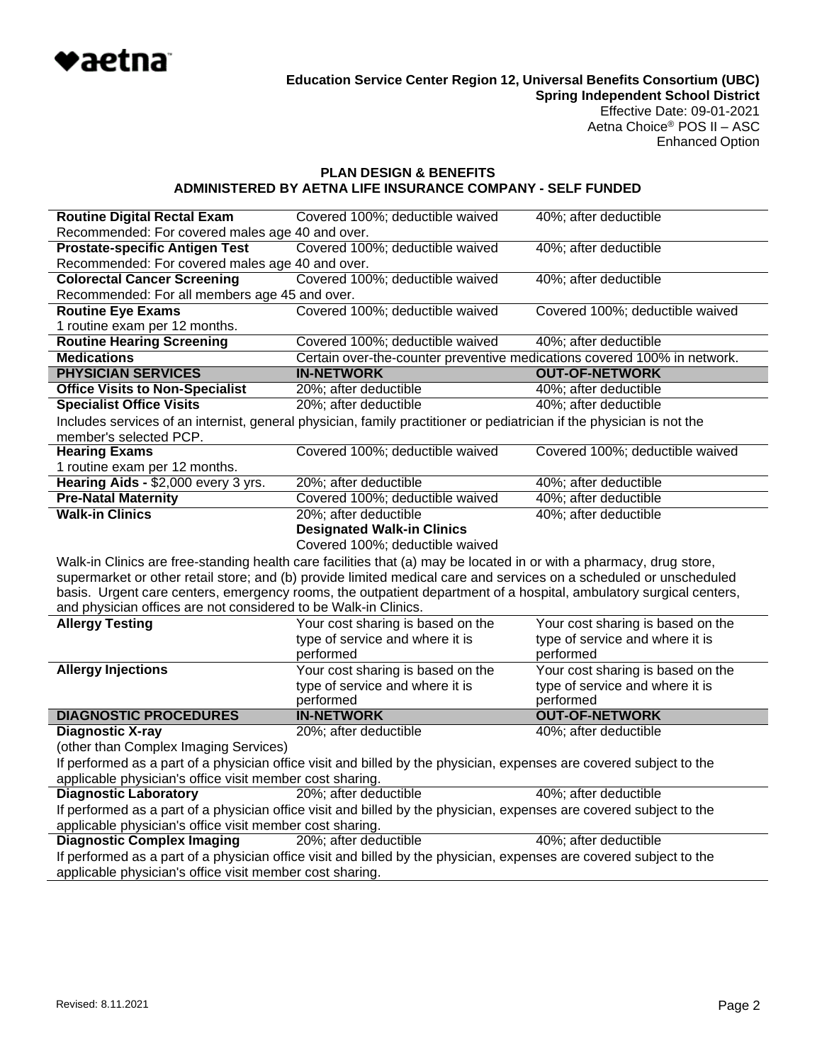

Effective Date: 09-01-2021 Aetna Choice® POS II – ASC Enhanced Option

# **PLAN DESIGN & BENEFITS ADMINISTERED BY AETNA LIFE INSURANCE COMPANY - SELF FUNDED**

| <b>Routine Digital Rectal Exam</b>                                                                                                                                                                                                        | Covered 100%; deductible waived                                                                                       | 40%; after deductible             |  |
|-------------------------------------------------------------------------------------------------------------------------------------------------------------------------------------------------------------------------------------------|-----------------------------------------------------------------------------------------------------------------------|-----------------------------------|--|
| Recommended: For covered males age 40 and over.                                                                                                                                                                                           |                                                                                                                       |                                   |  |
| <b>Prostate-specific Antigen Test</b>                                                                                                                                                                                                     | Covered 100%; deductible waived<br>40%; after deductible                                                              |                                   |  |
| Recommended: For covered males age 40 and over.                                                                                                                                                                                           |                                                                                                                       |                                   |  |
| <b>Colorectal Cancer Screening</b>                                                                                                                                                                                                        | Covered 100%; deductible waived                                                                                       | 40%; after deductible             |  |
| Recommended: For all members age 45 and over.                                                                                                                                                                                             |                                                                                                                       |                                   |  |
| <b>Routine Eye Exams</b>                                                                                                                                                                                                                  | Covered 100%; deductible waived                                                                                       | Covered 100%; deductible waived   |  |
| 1 routine exam per 12 months.                                                                                                                                                                                                             |                                                                                                                       |                                   |  |
| <b>Routine Hearing Screening</b>                                                                                                                                                                                                          | Covered 100%; deductible waived                                                                                       | 40%; after deductible             |  |
| <b>Medications</b>                                                                                                                                                                                                                        | Certain over-the-counter preventive medications covered 100% in network.                                              |                                   |  |
| <b>PHYSICIAN SERVICES</b>                                                                                                                                                                                                                 | <b>IN-NETWORK</b>                                                                                                     | <b>OUT-OF-NETWORK</b>             |  |
| <b>Office Visits to Non-Specialist</b>                                                                                                                                                                                                    | 20%; after deductible                                                                                                 | 40%; after deductible             |  |
| <b>Specialist Office Visits</b>                                                                                                                                                                                                           | 20%; after deductible                                                                                                 | 40%; after deductible             |  |
|                                                                                                                                                                                                                                           | Includes services of an internist, general physician, family practitioner or pediatrician if the physician is not the |                                   |  |
| member's selected PCP.                                                                                                                                                                                                                    |                                                                                                                       |                                   |  |
| <b>Hearing Exams</b>                                                                                                                                                                                                                      | Covered 100%; deductible waived                                                                                       | Covered 100%; deductible waived   |  |
| 1 routine exam per 12 months.                                                                                                                                                                                                             |                                                                                                                       |                                   |  |
| Hearing Aids - \$2,000 every 3 yrs.                                                                                                                                                                                                       | 20%; after deductible                                                                                                 | 40%; after deductible             |  |
| <b>Pre-Natal Maternity</b>                                                                                                                                                                                                                | Covered 100%; deductible waived                                                                                       | 40%; after deductible             |  |
| <b>Walk-in Clinics</b>                                                                                                                                                                                                                    | 20%; after deductible                                                                                                 | 40%; after deductible             |  |
|                                                                                                                                                                                                                                           | <b>Designated Walk-in Clinics</b>                                                                                     |                                   |  |
|                                                                                                                                                                                                                                           | Covered 100%; deductible waived                                                                                       |                                   |  |
|                                                                                                                                                                                                                                           |                                                                                                                       |                                   |  |
| Walk-in Clinics are free-standing health care facilities that (a) may be located in or with a pharmacy, drug store,<br>supermarket or other retail store; and (b) provide limited medical care and services on a scheduled or unscheduled |                                                                                                                       |                                   |  |
| basis. Urgent care centers, emergency rooms, the outpatient department of a hospital, ambulatory surgical centers,                                                                                                                        |                                                                                                                       |                                   |  |
| and physician offices are not considered to be Walk-in Clinics.                                                                                                                                                                           |                                                                                                                       |                                   |  |
| <b>Allergy Testing</b>                                                                                                                                                                                                                    | Your cost sharing is based on the                                                                                     | Your cost sharing is based on the |  |
|                                                                                                                                                                                                                                           | type of service and where it is                                                                                       | type of service and where it is   |  |
|                                                                                                                                                                                                                                           | performed                                                                                                             | performed                         |  |
| <b>Allergy Injections</b>                                                                                                                                                                                                                 | Your cost sharing is based on the                                                                                     | Your cost sharing is based on the |  |
|                                                                                                                                                                                                                                           | type of service and where it is                                                                                       | type of service and where it is   |  |
|                                                                                                                                                                                                                                           | performed                                                                                                             | performed                         |  |
| <b>DIAGNOSTIC PROCEDURES</b>                                                                                                                                                                                                              | <b>IN-NETWORK</b>                                                                                                     | <b>OUT-OF-NETWORK</b>             |  |
| <b>Diagnostic X-ray</b>                                                                                                                                                                                                                   | 20%; after deductible                                                                                                 | 40%; after deductible             |  |
| (other than Complex Imaging Services)                                                                                                                                                                                                     |                                                                                                                       |                                   |  |
|                                                                                                                                                                                                                                           |                                                                                                                       |                                   |  |
| If performed as a part of a physician office visit and billed by the physician, expenses are covered subject to the<br>applicable physician's office visit member cost sharing.                                                           |                                                                                                                       |                                   |  |
| <b>Diagnostic Laboratory</b>                                                                                                                                                                                                              | 20%; after deductible                                                                                                 | 40%; after deductible             |  |
| If performed as a part of a physician office visit and billed by the physician, expenses are covered subject to the                                                                                                                       |                                                                                                                       |                                   |  |
| applicable physician's office visit member cost sharing.                                                                                                                                                                                  |                                                                                                                       |                                   |  |
| <b>Diagnostic Complex Imaging</b><br>20%; after deductible<br>40%; after deductible                                                                                                                                                       |                                                                                                                       |                                   |  |
| If performed as a part of a physician office visit and billed by the physician, expenses are covered subject to the                                                                                                                       |                                                                                                                       |                                   |  |
| applicable physician's office visit member cost sharing.                                                                                                                                                                                  |                                                                                                                       |                                   |  |
|                                                                                                                                                                                                                                           |                                                                                                                       |                                   |  |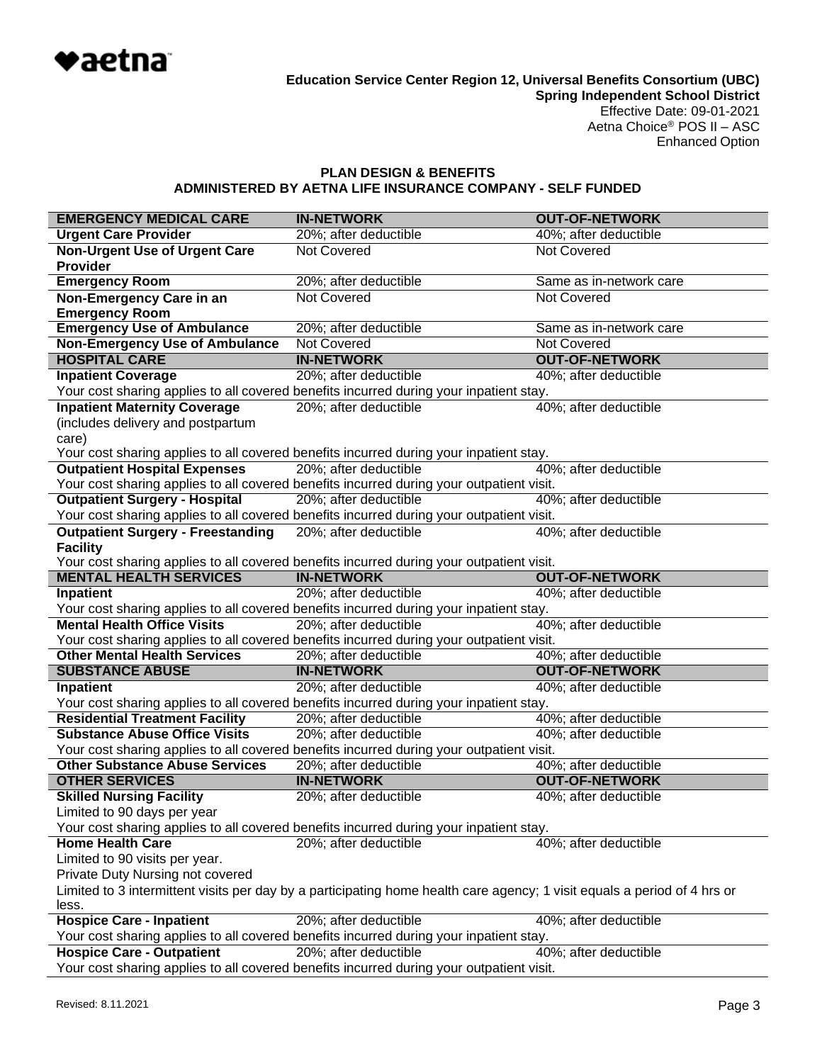

### **PLAN DESIGN & BENEFITS ADMINISTERED BY AETNA LIFE INSURANCE COMPANY - SELF FUNDED**

| <b>EMERGENCY MEDICAL CARE</b>                                                                                                     | <b>IN-NETWORK</b>                                                                                               | <b>OUT-OF-NETWORK</b>                          |  |
|-----------------------------------------------------------------------------------------------------------------------------------|-----------------------------------------------------------------------------------------------------------------|------------------------------------------------|--|
| <b>Urgent Care Provider</b>                                                                                                       | 20%; after deductible                                                                                           | 40%; after deductible                          |  |
| <b>Non-Urgent Use of Urgent Care</b>                                                                                              | Not Covered                                                                                                     | <b>Not Covered</b>                             |  |
| <b>Provider</b>                                                                                                                   |                                                                                                                 |                                                |  |
| <b>Emergency Room</b>                                                                                                             | 20%; after deductible                                                                                           | Same as in-network care                        |  |
| Non-Emergency Care in an                                                                                                          | <b>Not Covered</b>                                                                                              | Not Covered                                    |  |
| <b>Emergency Room</b>                                                                                                             |                                                                                                                 |                                                |  |
| <b>Emergency Use of Ambulance</b>                                                                                                 | 20%; after deductible                                                                                           | Same as in-network care                        |  |
| <b>Non-Emergency Use of Ambulance</b>                                                                                             | <b>Not Covered</b>                                                                                              | Not Covered                                    |  |
| <b>HOSPITAL CARE</b>                                                                                                              | <b>IN-NETWORK</b>                                                                                               | <b>OUT-OF-NETWORK</b>                          |  |
| <b>Inpatient Coverage</b>                                                                                                         | 20%; after deductible                                                                                           | 40%; after deductible                          |  |
|                                                                                                                                   | Your cost sharing applies to all covered benefits incurred during your inpatient stay.                          |                                                |  |
| <b>Inpatient Maternity Coverage</b>                                                                                               | 20%; after deductible                                                                                           | 40%; after deductible                          |  |
| (includes delivery and postpartum                                                                                                 |                                                                                                                 |                                                |  |
| care)                                                                                                                             |                                                                                                                 |                                                |  |
|                                                                                                                                   | Your cost sharing applies to all covered benefits incurred during your inpatient stay.                          |                                                |  |
| <b>Outpatient Hospital Expenses</b>                                                                                               | 20%; after deductible                                                                                           | 40%; after deductible                          |  |
|                                                                                                                                   | Your cost sharing applies to all covered benefits incurred during your outpatient visit.                        |                                                |  |
| <b>Outpatient Surgery - Hospital</b>                                                                                              | 20%; after deductible                                                                                           | 40%; after deductible                          |  |
|                                                                                                                                   | Your cost sharing applies to all covered benefits incurred during your outpatient visit.                        |                                                |  |
| <b>Outpatient Surgery - Freestanding</b>                                                                                          | 20%; after deductible                                                                                           | 40%; after deductible                          |  |
| <b>Facility</b>                                                                                                                   |                                                                                                                 |                                                |  |
| <b>MENTAL HEALTH SERVICES</b>                                                                                                     | Your cost sharing applies to all covered benefits incurred during your outpatient visit.<br><b>IN-NETWORK</b>   | <b>OUT-OF-NETWORK</b>                          |  |
|                                                                                                                                   | 20%; after deductible                                                                                           | 40%; after deductible                          |  |
| <b>Inpatient</b>                                                                                                                  |                                                                                                                 |                                                |  |
| <b>Mental Health Office Visits</b>                                                                                                | Your cost sharing applies to all covered benefits incurred during your inpatient stay.<br>20%; after deductible | 40%; after deductible                          |  |
|                                                                                                                                   |                                                                                                                 |                                                |  |
| <b>Other Mental Health Services</b>                                                                                               | Your cost sharing applies to all covered benefits incurred during your outpatient visit.                        |                                                |  |
| <b>SUBSTANCE ABUSE</b>                                                                                                            | 20%; after deductible<br><b>IN-NETWORK</b>                                                                      | 40%; after deductible<br><b>OUT-OF-NETWORK</b> |  |
| <b>Inpatient</b>                                                                                                                  | 20%; after deductible                                                                                           | 40%; after deductible                          |  |
|                                                                                                                                   | Your cost sharing applies to all covered benefits incurred during your inpatient stay.                          |                                                |  |
| <b>Residential Treatment Facility</b>                                                                                             | 20%; after deductible                                                                                           | 40%; after deductible                          |  |
| <b>Substance Abuse Office Visits</b>                                                                                              | 20%; after deductible                                                                                           | 40%; after deductible                          |  |
|                                                                                                                                   | Your cost sharing applies to all covered benefits incurred during your outpatient visit.                        |                                                |  |
| <b>Other Substance Abuse Services</b>                                                                                             | 20%; after deductible                                                                                           | 40%; after deductible                          |  |
| <b>OTHER SERVICES</b>                                                                                                             | <b>IN-NETWORK</b>                                                                                               | <b>OUT-OF-NETWORK</b>                          |  |
| <b>Skilled Nursing Facility</b>                                                                                                   | 20%; after deductible                                                                                           | 40%; after deductible                          |  |
| Limited to 90 days per year                                                                                                       |                                                                                                                 |                                                |  |
|                                                                                                                                   | Your cost sharing applies to all covered benefits incurred during your inpatient stay.                          |                                                |  |
| <b>Home Health Care</b>                                                                                                           | 20%; after deductible                                                                                           | 40%; after deductible                          |  |
| Limited to 90 visits per year.                                                                                                    |                                                                                                                 |                                                |  |
| Private Duty Nursing not covered                                                                                                  |                                                                                                                 |                                                |  |
|                                                                                                                                   |                                                                                                                 |                                                |  |
| Limited to 3 intermittent visits per day by a participating home health care agency; 1 visit equals a period of 4 hrs or<br>less. |                                                                                                                 |                                                |  |
| <b>Hospice Care - Inpatient</b>                                                                                                   | 20%; after deductible                                                                                           | 40%; after deductible                          |  |
|                                                                                                                                   | Your cost sharing applies to all covered benefits incurred during your inpatient stay.                          |                                                |  |
| <b>Hospice Care - Outpatient</b>                                                                                                  | 20%; after deductible                                                                                           | 40%; after deductible                          |  |
|                                                                                                                                   |                                                                                                                 |                                                |  |

Your cost sharing applies to all covered benefits incurred during your outpatient visit.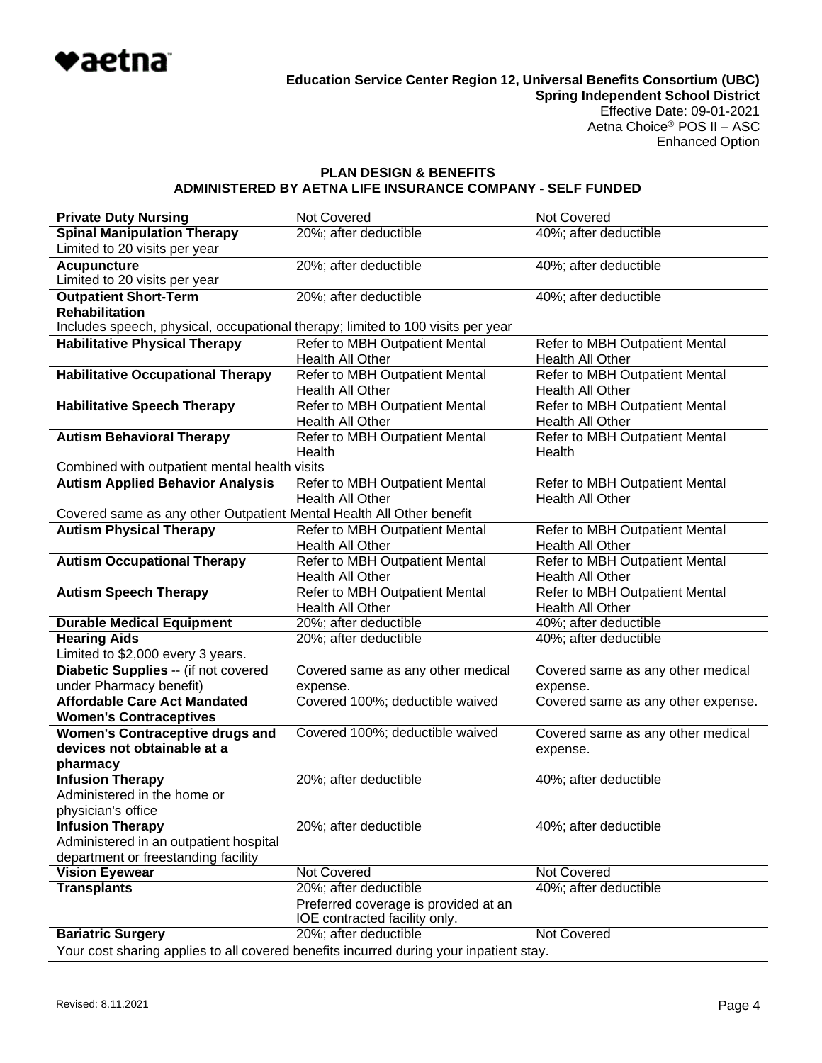

#### **PLAN DESIGN & BENEFITS ADMINISTERED BY AETNA LIFE INSURANCE COMPANY - SELF FUNDED**

| <b>Private Duty Nursing</b><br><b>Not Covered</b><br><b>Not Covered</b><br><b>Spinal Manipulation Therapy</b><br>20%; after deductible<br>40%; after deductible<br>Limited to 20 visits per year<br>20%; after deductible<br>40%; after deductible<br><b>Acupuncture</b><br>Limited to 20 visits per year |  |  |  |
|-----------------------------------------------------------------------------------------------------------------------------------------------------------------------------------------------------------------------------------------------------------------------------------------------------------|--|--|--|
|                                                                                                                                                                                                                                                                                                           |  |  |  |
|                                                                                                                                                                                                                                                                                                           |  |  |  |
|                                                                                                                                                                                                                                                                                                           |  |  |  |
|                                                                                                                                                                                                                                                                                                           |  |  |  |
| <b>Outpatient Short-Term</b><br>20%; after deductible<br>40%; after deductible<br><b>Rehabilitation</b>                                                                                                                                                                                                   |  |  |  |
| Includes speech, physical, occupational therapy; limited to 100 visits per year                                                                                                                                                                                                                           |  |  |  |
| <b>Habilitative Physical Therapy</b><br>Refer to MBH Outpatient Mental<br>Refer to MBH Outpatient Mental                                                                                                                                                                                                  |  |  |  |
| Health All Other<br>Health All Other                                                                                                                                                                                                                                                                      |  |  |  |
| <b>Habilitative Occupational Therapy</b><br>Refer to MBH Outpatient Mental<br>Refer to MBH Outpatient Mental                                                                                                                                                                                              |  |  |  |
| Health All Other<br>Health All Other                                                                                                                                                                                                                                                                      |  |  |  |
| <b>Habilitative Speech Therapy</b><br>Refer to MBH Outpatient Mental<br>Refer to MBH Outpatient Mental                                                                                                                                                                                                    |  |  |  |
| Health All Other<br>Health All Other                                                                                                                                                                                                                                                                      |  |  |  |
| Refer to MBH Outpatient Mental<br>Refer to MBH Outpatient Mental<br><b>Autism Behavioral Therapy</b>                                                                                                                                                                                                      |  |  |  |
| Health<br>Health                                                                                                                                                                                                                                                                                          |  |  |  |
| Combined with outpatient mental health visits                                                                                                                                                                                                                                                             |  |  |  |
| <b>Autism Applied Behavior Analysis</b><br>Refer to MBH Outpatient Mental<br>Refer to MBH Outpatient Mental                                                                                                                                                                                               |  |  |  |
| <b>Health All Other</b><br><b>Health All Other</b>                                                                                                                                                                                                                                                        |  |  |  |
| Covered same as any other Outpatient Mental Health All Other benefit                                                                                                                                                                                                                                      |  |  |  |
| <b>Autism Physical Therapy</b><br>Refer to MBH Outpatient Mental<br>Refer to MBH Outpatient Mental                                                                                                                                                                                                        |  |  |  |
| Health All Other<br>Health All Other                                                                                                                                                                                                                                                                      |  |  |  |
| <b>Autism Occupational Therapy</b><br>Refer to MBH Outpatient Mental<br>Refer to MBH Outpatient Mental                                                                                                                                                                                                    |  |  |  |
| Health All Other<br>Health All Other                                                                                                                                                                                                                                                                      |  |  |  |
| <b>Autism Speech Therapy</b><br>Refer to MBH Outpatient Mental<br>Refer to MBH Outpatient Mental<br>Health All Other<br>Health All Other                                                                                                                                                                  |  |  |  |
| <b>Durable Medical Equipment</b><br>20%; after deductible<br>40%; after deductible                                                                                                                                                                                                                        |  |  |  |
| <b>Hearing Aids</b><br>20%; after deductible<br>40%; after deductible                                                                                                                                                                                                                                     |  |  |  |
| Limited to \$2,000 every 3 years.                                                                                                                                                                                                                                                                         |  |  |  |
| Diabetic Supplies -- (if not covered<br>Covered same as any other medical<br>Covered same as any other medical                                                                                                                                                                                            |  |  |  |
| under Pharmacy benefit)<br>expense.<br>expense.                                                                                                                                                                                                                                                           |  |  |  |
| <b>Affordable Care Act Mandated</b><br>Covered 100%; deductible waived<br>Covered same as any other expense.                                                                                                                                                                                              |  |  |  |
| <b>Women's Contraceptives</b>                                                                                                                                                                                                                                                                             |  |  |  |
| Covered 100%; deductible waived<br><b>Women's Contraceptive drugs and</b><br>Covered same as any other medical                                                                                                                                                                                            |  |  |  |
| devices not obtainable at a<br>expense.                                                                                                                                                                                                                                                                   |  |  |  |
| pharmacy                                                                                                                                                                                                                                                                                                  |  |  |  |
| <b>Infusion Therapy</b><br>20%; after deductible<br>40%; after deductible                                                                                                                                                                                                                                 |  |  |  |
| Administered in the home or                                                                                                                                                                                                                                                                               |  |  |  |
| physician's office                                                                                                                                                                                                                                                                                        |  |  |  |
| <b>Infusion Therapy</b><br>20%; after deductible<br>40%; after deductible                                                                                                                                                                                                                                 |  |  |  |
| Administered in an outpatient hospital                                                                                                                                                                                                                                                                    |  |  |  |
| department or freestanding facility                                                                                                                                                                                                                                                                       |  |  |  |
| Not Covered<br>Not Covered<br><b>Vision Eyewear</b>                                                                                                                                                                                                                                                       |  |  |  |
| <b>Transplants</b><br>20%; after deductible<br>40%; after deductible                                                                                                                                                                                                                                      |  |  |  |
| Preferred coverage is provided at an                                                                                                                                                                                                                                                                      |  |  |  |
| IOE contracted facility only.                                                                                                                                                                                                                                                                             |  |  |  |
| 20%; after deductible<br>Not Covered<br><b>Bariatric Surgery</b>                                                                                                                                                                                                                                          |  |  |  |
| Your cost sharing applies to all covered benefits incurred during your inpatient stay.                                                                                                                                                                                                                    |  |  |  |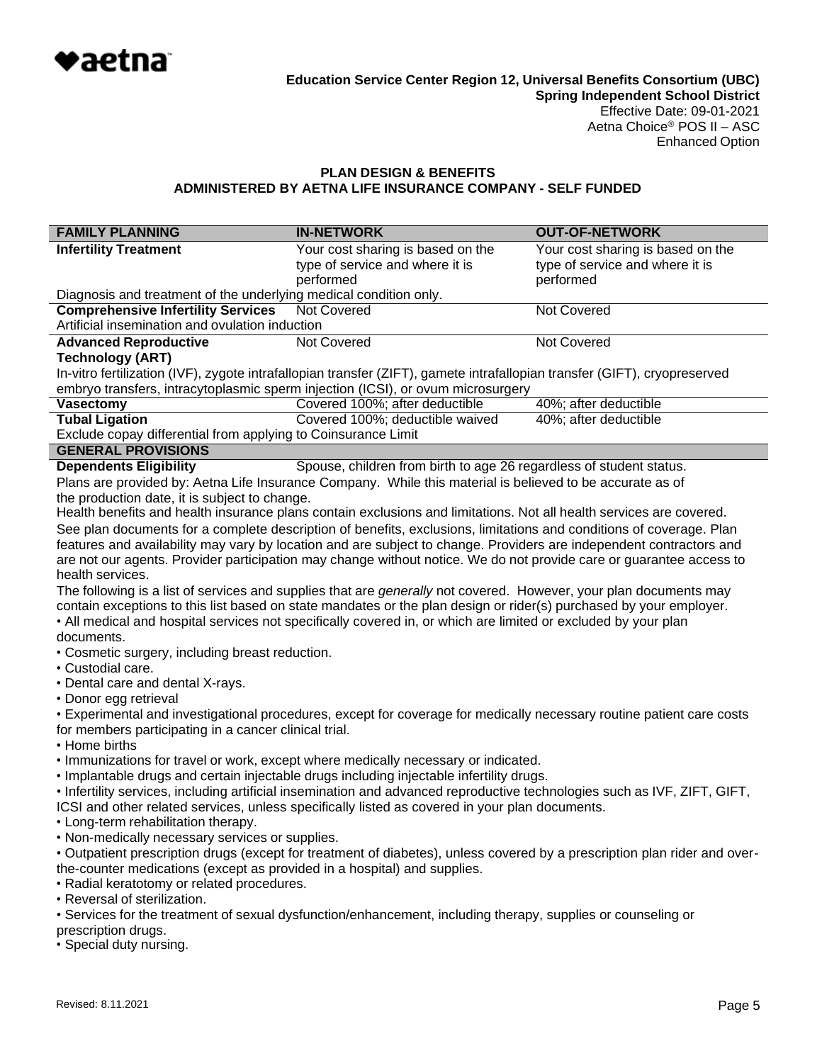

# **PLAN DESIGN & BENEFITS ADMINISTERED BY AETNA LIFE INSURANCE COMPANY - SELF FUNDED**

| <b>FAMILY PLANNING</b>                                                                                                                                                                                                      | <b>IN-NETWORK</b>                                                                                                         | <b>OUT-OF-NETWORK</b>             |  |
|-----------------------------------------------------------------------------------------------------------------------------------------------------------------------------------------------------------------------------|---------------------------------------------------------------------------------------------------------------------------|-----------------------------------|--|
| <b>Infertility Treatment</b>                                                                                                                                                                                                | Your cost sharing is based on the                                                                                         | Your cost sharing is based on the |  |
|                                                                                                                                                                                                                             | type of service and where it is                                                                                           | type of service and where it is   |  |
| Diagnosis and treatment of the underlying medical condition only.                                                                                                                                                           | performed                                                                                                                 | performed                         |  |
| <b>Comprehensive Infertility Services</b>                                                                                                                                                                                   | <b>Not Covered</b>                                                                                                        | <b>Not Covered</b>                |  |
| Artificial insemination and ovulation induction                                                                                                                                                                             |                                                                                                                           |                                   |  |
| <b>Advanced Reproductive</b>                                                                                                                                                                                                | Not Covered                                                                                                               | Not Covered                       |  |
| <b>Technology (ART)</b>                                                                                                                                                                                                     |                                                                                                                           |                                   |  |
|                                                                                                                                                                                                                             | In-vitro fertilization (IVF), zygote intrafallopian transfer (ZIFT), gamete intrafallopian transfer (GIFT), cryopreserved |                                   |  |
| <b>Vasectomy</b>                                                                                                                                                                                                            | embryo transfers, intracytoplasmic sperm injection (ICSI), or ovum microsurgery<br>Covered 100%; after deductible         | 40%; after deductible             |  |
| <b>Tubal Ligation</b>                                                                                                                                                                                                       | Covered 100%; deductible waived                                                                                           | 40%; after deductible             |  |
| Exclude copay differential from applying to Coinsurance Limit                                                                                                                                                               |                                                                                                                           |                                   |  |
| <b>GENERAL PROVISIONS</b>                                                                                                                                                                                                   |                                                                                                                           |                                   |  |
| <b>Dependents Eligibility</b>                                                                                                                                                                                               | Spouse, children from birth to age 26 regardless of student status.                                                       |                                   |  |
|                                                                                                                                                                                                                             | Plans are provided by: Aetna Life Insurance Company. While this material is believed to be accurate as of                 |                                   |  |
| the production date, it is subject to change.                                                                                                                                                                               |                                                                                                                           |                                   |  |
|                                                                                                                                                                                                                             | Health benefits and health insurance plans contain exclusions and limitations. Not all health services are covered.       |                                   |  |
|                                                                                                                                                                                                                             | See plan documents for a complete description of benefits, exclusions, limitations and conditions of coverage. Plan       |                                   |  |
|                                                                                                                                                                                                                             | features and availability may vary by location and are subject to change. Providers are independent contractors and       |                                   |  |
|                                                                                                                                                                                                                             | are not our agents. Provider participation may change without notice. We do not provide care or guarantee access to       |                                   |  |
| health services.                                                                                                                                                                                                            | The following is a list of services and supplies that are <i>generally</i> not covered. However, your plan documents may  |                                   |  |
|                                                                                                                                                                                                                             | contain exceptions to this list based on state mandates or the plan design or rider(s) purchased by your employer.        |                                   |  |
|                                                                                                                                                                                                                             | • All medical and hospital services not specifically covered in, or which are limited or excluded by your plan            |                                   |  |
| documents.                                                                                                                                                                                                                  |                                                                                                                           |                                   |  |
| • Cosmetic surgery, including breast reduction.                                                                                                                                                                             |                                                                                                                           |                                   |  |
| • Custodial care.                                                                                                                                                                                                           |                                                                                                                           |                                   |  |
| • Dental care and dental X-rays.                                                                                                                                                                                            |                                                                                                                           |                                   |  |
| • Donor egg retrieval                                                                                                                                                                                                       |                                                                                                                           |                                   |  |
|                                                                                                                                                                                                                             | • Experimental and investigational procedures, except for coverage for medically necessary routine patient care costs     |                                   |  |
| for members participating in a cancer clinical trial.                                                                                                                                                                       |                                                                                                                           |                                   |  |
| • Home births                                                                                                                                                                                                               | . Immunizations for travel or work, except where medically necessary or indicated.                                        |                                   |  |
|                                                                                                                                                                                                                             | . Implantable drugs and certain injectable drugs including injectable infertility drugs.                                  |                                   |  |
|                                                                                                                                                                                                                             |                                                                                                                           |                                   |  |
| · Infertility services, including artificial insemination and advanced reproductive technologies such as IVF, ZIFT, GIFT,<br>ICSI and other related services, unless specifically listed as covered in your plan documents. |                                                                                                                           |                                   |  |
| • Long-term rehabilitation therapy.                                                                                                                                                                                         |                                                                                                                           |                                   |  |
| . Non-medically necessary services or supplies.                                                                                                                                                                             |                                                                                                                           |                                   |  |
| • Outpatient prescription drugs (except for treatment of diabetes), unless covered by a prescription plan rider and over-                                                                                                   |                                                                                                                           |                                   |  |
| the-counter medications (except as provided in a hospital) and supplies.                                                                                                                                                    |                                                                                                                           |                                   |  |
| • Radial keratotomy or related procedures.                                                                                                                                                                                  |                                                                                                                           |                                   |  |
| • Reversal of sterilization.                                                                                                                                                                                                |                                                                                                                           |                                   |  |
| • Services for the treatment of sexual dysfunction/enhancement, including therapy, supplies or counseling or                                                                                                                |                                                                                                                           |                                   |  |
| prescription drugs.                                                                                                                                                                                                         |                                                                                                                           |                                   |  |

• Special duty nursing.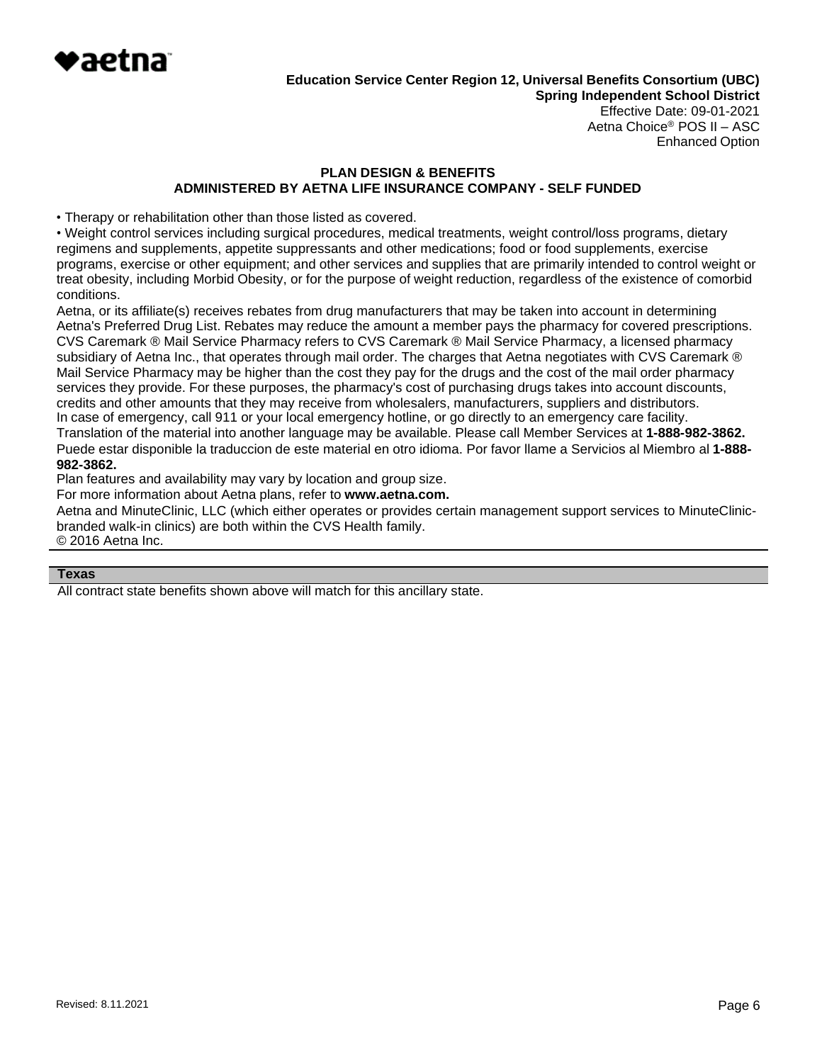

Effective Date: 09-01-2021 Aetna Choice® POS II – ASC Enhanced Option

# **PLAN DESIGN & BENEFITS ADMINISTERED BY AETNA LIFE INSURANCE COMPANY - SELF FUNDED**

• Therapy or rehabilitation other than those listed as covered.

• Weight control services including surgical procedures, medical treatments, weight control/loss programs, dietary regimens and supplements, appetite suppressants and other medications; food or food supplements, exercise programs, exercise or other equipment; and other services and supplies that are primarily intended to control weight or treat obesity, including Morbid Obesity, or for the purpose of weight reduction, regardless of the existence of comorbid conditions.

Aetna, or its affiliate(s) receives rebates from drug manufacturers that may be taken into account in determining Aetna's Preferred Drug List. Rebates may reduce the amount a member pays the pharmacy for covered prescriptions. CVS Caremark ® Mail Service Pharmacy refers to CVS Caremark ® Mail Service Pharmacy, a licensed pharmacy subsidiary of Aetna Inc., that operates through mail order. The charges that Aetna negotiates with CVS Caremark ® Mail Service Pharmacy may be higher than the cost they pay for the drugs and the cost of the mail order pharmacy services they provide. For these purposes, the pharmacy's cost of purchasing drugs takes into account discounts, credits and other amounts that they may receive from wholesalers, manufacturers, suppliers and distributors. In case of emergency, call 911 or your local emergency hotline, or go directly to an emergency care facility. Translation of the material into another language may be available. Please call Member Services at **1-888-982-3862.** Puede estar disponible la traduccion de este material en otro idioma. Por favor llame a Servicios al Miembro al **1-888- 982-3862.**

Plan features and availability may vary by location and group size.

For more information about Aetna plans, refer to **[www.aetna.com.](http://www.aetna.com/)**

Aetna and MinuteClinic, LLC (which either operates or provides certain management support services to MinuteClinicbranded walk-in clinics) are both within the CVS Health family. © 2016 Aetna Inc.

#### **Texas**

All contract state benefits shown above will match for this ancillary state.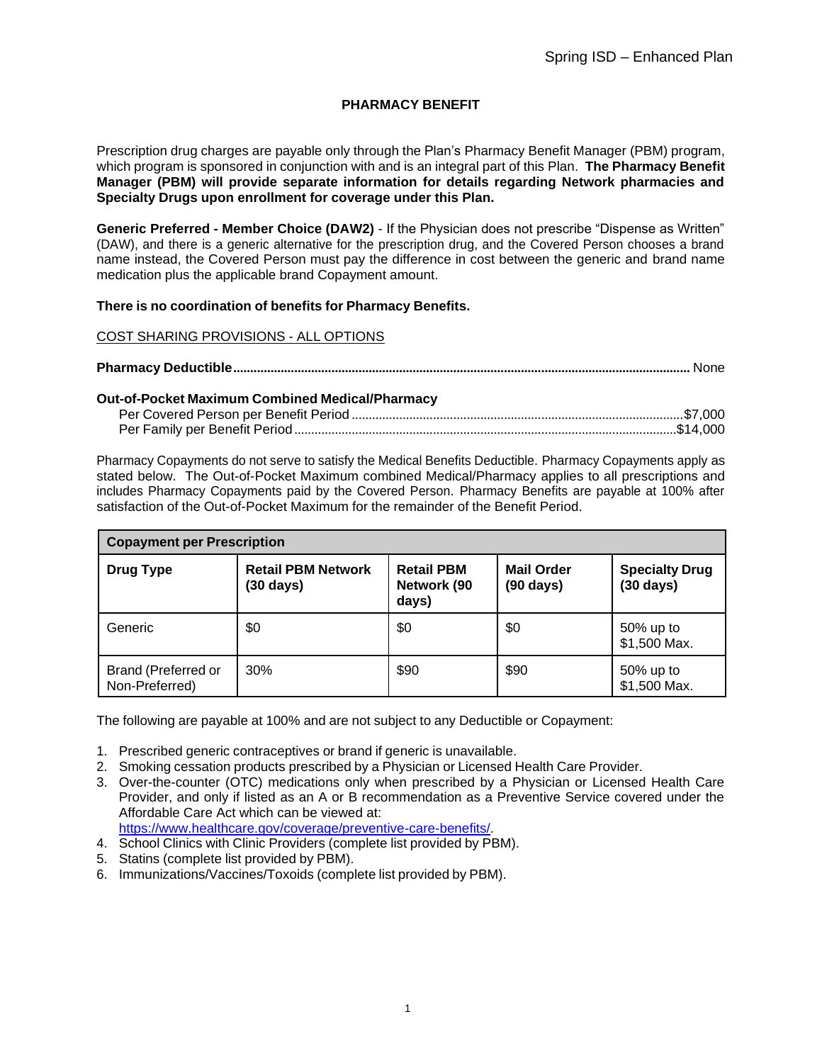# **PHARMACY BENEFIT**

Prescription drug charges are payable only through the Plan's Pharmacy Benefit Manager (PBM) program, which program is sponsored in conjunction with and is an integral part of this Plan. **The Pharmacy Benefit Manager (PBM) will provide separate information for details regarding Network pharmacies and Specialty Drugs upon enrollment for coverage under this Plan.**

**Generic Preferred - Member Choice (DAW2)** - If the Physician does not prescribe "Dispense as Written" (DAW), and there is a generic alternative for the prescription drug, and the Covered Person chooses a brand name instead, the Covered Person must pay the difference in cost between the generic and brand name medication plus the applicable brand Copayment amount.

### **There is no coordination of benefits for Pharmacy Benefits.**

### COST SHARING PROVISIONS - ALL OPTIONS

|--|

#### **Out-of-Pocket Maximum Combined Medical/Pharmacy**

Pharmacy Copayments do not serve to satisfy the Medical Benefits Deductible. Pharmacy Copayments apply as stated below. The Out-of-Pocket Maximum combined Medical/Pharmacy applies to all prescriptions and includes Pharmacy Copayments paid by the Covered Person. Pharmacy Benefits are payable at 100% after satisfaction of the Out-of-Pocket Maximum for the remainder of the Benefit Period.

| <b>Copayment per Prescription</b>            |                                                  |                                           |                                          |                                    |
|----------------------------------------------|--------------------------------------------------|-------------------------------------------|------------------------------------------|------------------------------------|
| <b>Drug Type</b>                             | <b>Retail PBM Network</b><br>$(30 \text{ days})$ | <b>Retail PBM</b><br>Network (90<br>days) | <b>Mail Order</b><br>$(90 \text{ days})$ | <b>Specialty Drug</b><br>(30 days) |
| Generic                                      | \$0                                              | \$0                                       | \$0                                      | 50% up to<br>\$1,500 Max.          |
| <b>Brand (Preferred or</b><br>Non-Preferred) | 30%                                              | \$90                                      | \$90                                     | 50% up to<br>\$1,500 Max.          |

The following are payable at 100% and are not subject to any Deductible or Copayment:

- 1. Prescribed generic contraceptives or brand if generic is unavailable.
- 2. Smoking cessation products prescribed by a Physician or Licensed Health Care Provider.
- 3. Over-the-counter (OTC) medications only when prescribed by a Physician or Licensed Health Care Provider, and only if listed as an A or B recommendation as a Preventive Service covered under the Affordable Care Act which can be viewed at: [https://www.healthcare.gov/coverage/preventive-care-benefits/.](http://www.healthcare.gov/coverage/preventive-care-benefits/)
- 4. School Clinics with Clinic Providers (complete list provided by PBM).
- 5. Statins (complete list provided by PBM).
- 6. Immunizations/Vaccines/Toxoids (complete list provided by PBM).